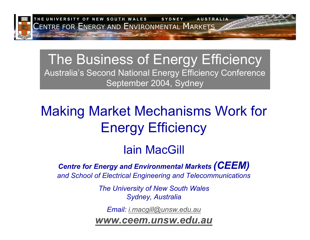

THE UNIVERSITY OF NEW SOUTH WALES SYDNEY Centre for Energy and Environmental Markets

### The Business of Energy Efficiency Australia's Second National Energy Efficiency Conference September 2004, Sydney

# Making Market Mechanisms Work for Energy Efficiency

# Iain MacGill

*Centre for Energy and Environmental Markets (CEEM) and School of Electrical Engineering and Telecommunications*

> *The University of New South Wales Sydney, Australia*

*Email: [i.macgill@unsw.edu.au](mailto:i.macgill@unsw.edu.au)*

*[www.ceem.unsw.edu.a](http://www.ceem.unsw.edu.au/)u*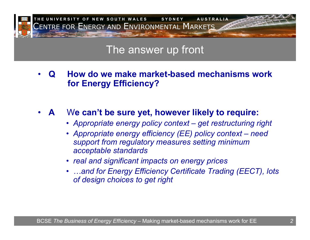

### The answer up front

• **Q How do we make market-based mechanisms work for Energy Efficiency?**

#### • **A**W**e can't be sure yet, however likely to require:**

- *Appropriate energy policy context – get restructuring right*
- *Appropriate energy efficiency (EE) policy context – need support from regulatory measures setting minimum acceptable standards*
- *real and significant impacts on energy prices*
- • *…and for Energy Efficiency Certificate Trading (EECT), lots of design choices to get right*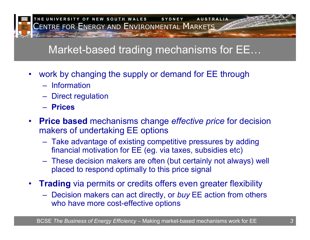

## Market-based trading mechanisms for EE…

- • work by changing the supply or demand for EE through
	- Information
	- –Direct regulation
	- **Prices**
- $\bullet$  **Price based** mechanisms change *effective price* for decision makers of undertaking EE options
	- Take advantage of existing competitive pressures by adding financial motivation for EE (eg. via taxes, subsidies etc)
	- These decision makers are often (but certainly not always) well placed to respond optimally to this price signal
- • **Trading** via permits or credits offers even greater flexibility
	- Decision makers can act directly, or *buy* EE action from others who have more cost-effective options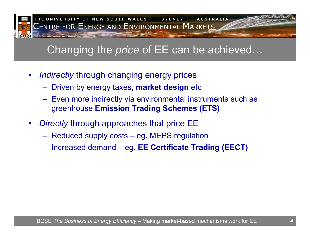

# Changing the *price* of EE can be achieved…

- • *Indirectly* through changing energy prices
	- Driven by energy taxes, **market design** etc
	- Even more indirectly via environmental instruments such as greenhouse **Emission Trading Schemes (ETS)**
- • *Directly* through approaches that price EE
	- Reduced supply costs eg. MEPS regulation
	- Increased demand eg. **EE Certificate Trading (EECT)**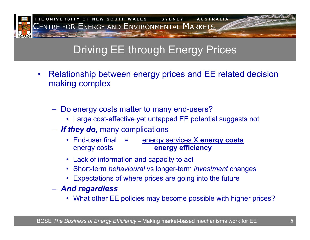

### Driving EE through Energy Prices

- $\bullet$  Relationship between energy prices and EE related decision making complex
	- Do energy costs matter to many end-users?
		- Large cost-effective yet untapped EE potential suggests not
	- *If they do,* many complications
		- End-user final = **energy services X energy costs** energy costs **energy efficiency**
		- Lack of information and capacity to act
		- Short-term *behavioural* vs longer-term *investment* changes
		- Expectations of where prices are going into the future
	- *And regardless*
		- What other EE policies may become possible with higher prices?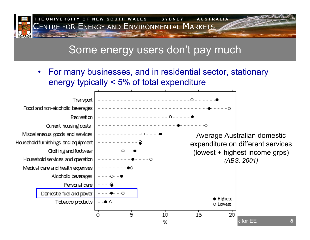

### Some energy users don't pay much

• For many businesses, and in residential sector, stationary energy typically < 5% of total expenditure

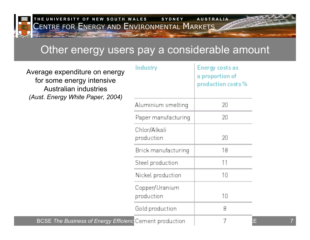

### Other energy users pay a considerable amount

Average expenditure on energy for some energy intensive Australian industries *(Aust. Energy White Paper, 2004)*

| erage expenditure on energy<br>for some energy intensive<br><b>Australian industries</b><br>ust. Energy White Paper, 2004) | Industry                     | Energy costs as<br>a proportion of<br>production costs % |
|----------------------------------------------------------------------------------------------------------------------------|------------------------------|----------------------------------------------------------|
|                                                                                                                            | Aluminium smelting           | 20                                                       |
|                                                                                                                            | Paper manufacturing          | 20                                                       |
|                                                                                                                            | Chlor/Alkali<br>production   | 20                                                       |
|                                                                                                                            | Brick manufacturing          | 18                                                       |
|                                                                                                                            | Steel production             | 11                                                       |
|                                                                                                                            | Nickel production            | 10.                                                      |
|                                                                                                                            | Copper/Uranium<br>production | 10                                                       |
|                                                                                                                            | Gold production              | 8                                                        |
| <b>BCSE The Business of Energy Efficienc</b> Cement production                                                             |                              | 7                                                        |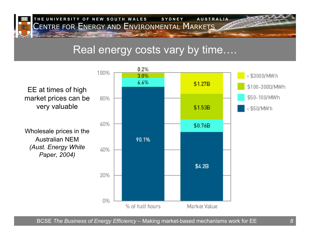

### Real energy costs vary by time….



BCSE *The Business of Energy Efficiency* – Making market-based mechanisms work for EE *8*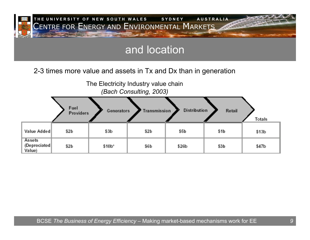

### and location

2-3 times more value and assets in Tx and Dx than in generation

| The Electricity Industry value chain<br>(Bach Consulting, 2003) |                   |                  |              |                     |        |                   |  |
|-----------------------------------------------------------------|-------------------|------------------|--------------|---------------------|--------|-------------------|--|
|                                                                 | Fuel<br>Providers | Generators       | Transmission | <b>Distribution</b> | Retail | <b>Totals</b>     |  |
| Value Added                                                     | \$2b.             | \$3 <sub>b</sub> | \$2b         | \$5b                | \$1b.  | \$13 <sub>b</sub> |  |
| <b>Assets</b><br>(Depreciated)<br>Value)                        | \$2b.             | \$10b*           | \$6b.        | \$26b               | 53 b   | \$47b             |  |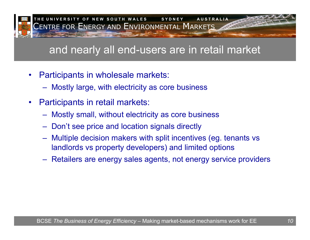

### and nearly all end-users are in retail market

- • Participants in wholesale markets:
	- Mostly large, with electricity as core business
- • Participants in retail markets:
	- Mostly small, without electricity as core business
	- –Don't see price and location signals directly
	- – Multiple decision makers with split incentives (eg. tenants vs landlords vs property developers) and limited options
	- Retailers are energy sales agents, not energy service providers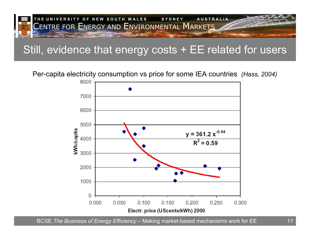

### Still, evidence that energy costs + EE related for users

Per-capita electricity consumption vs price for some IEA countries *(Hass, 2004)*



BCSE *The Business of Energy Efficiency* – Making market-based mechanisms work for EE *11*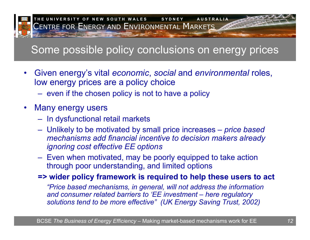

### Some possible policy conclusions on energy prices

- • Given energy's vital *economic*, *social* and *environmental* roles, low energy prices are a policy choice
	- $-$  even if the chosen policy is not to have a policy
- • Many energy users
	- In dysfunctional retail markets
	- Unlikely to be motivated by small price increases *– price based mechanisms add financial incentive to decision makers already ignoring cost effective EE options*
	- Even when motivated, may be poorly equipped to take action through poor understanding, and limited options

**=> wider policy framework is required to help these users to act**

*"Price based mechanisms, in general, will not address the information and consumer related barriers to 'EE investment – here regulatory solutions tend to be more effective" (UK Energy Saving Trust, 2002)*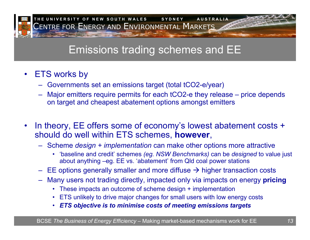

### Emissions trading schemes and EE

- • ETS works by
	- Governments set an emissions target (total tCO2-e/year)
	- Major emitters require permits for each tCO2-e they release price depends on target and cheapest abatement options amongst emitters
- • In theory, EE offers some of economy's lowest abatement costs + should do well within ETS schemes, **however**,
	- Scheme *design + implementation* can make other options more attractive
		- 'baseline and credit' schemes *(eg. NSW Benchmarks)* can be *designed* to value just about anything –eg. EE vs. 'abatement' from Qld coal power stations
	- –EE options generally smaller and more diffuse  $\rightarrow$  higher transaction costs
	- – Many users not trading directly, impacted only via impacts on energy **pricing**
		- These impacts an outcome of scheme design + implementation
		- ETS unlikely to drive major changes for small users with low energy costs
		- •*ETS objective is to minimise costs of meeting emissions targets*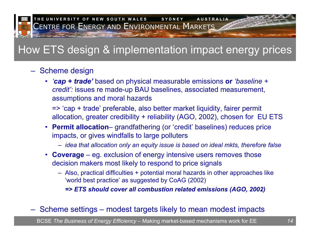

## How ETS design & implementation impact energy prices

### – Scheme design

• *'cap + trade'* based on physical measurable emissions **or** *'baseline + credit':* issues re made-up BAU baselines, associated measurement, assumptions and moral hazards

=> 'cap + trade' preferable, also better market liquidity, fairer permit allocation, greater credibility + reliability (AGO, 2002), chosen for EU ETS

• **Permit allocation**– grandfathering (or 'credit' baselines) reduces price impacts, or gives windfalls to large polluters

– *idea that allocation only an equity issue is based on ideal mkts, therefore false*

- **Coverage** eg. exclusion of energy intensive users removes those decision makers most likely to respond to price signals
	- Also, practical difficulties + potential moral hazards in other approaches like 'world best practice' as suggested by CoAG (2002)

*=> ETS should cover all combustion related emissions (AGO, 2002)*

### Scheme settings – modest targets likely to mean modest impacts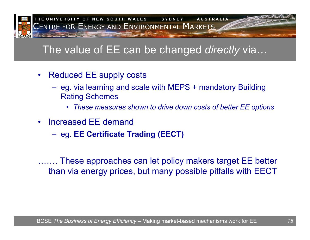

## The value of EE can be changed *directly* via…

- Reduced EE supply costs
	- eg. via learning and scale with MEPS + mandatory Building Rating Schemes
		- *These measures shown to drive down costs of better EE options*
- $\bullet$  Increased EE demand
	- eg. **EE Certificate Trading (EECT)**

These approaches can let policy makers target EE better than via energy prices, but many possible pitfalls with EECT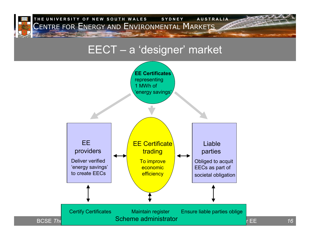

### EECT – <sup>a</sup>'designer' market

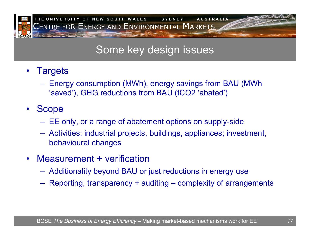

### Some key design issues

- •**Targets** 
	- Energy consumption (MWh), energy savings from BAU (MWh 'saved'), GHG reductions from BAU (tCO2 'abated')
- • Scope
	- EE only, or a range of abatement options on supply-side
	- Activities: industrial projects, buildings, appliances; investment, behavioural changes
- • Measurement + verification
	- Additionality beyond BAU or just reductions in energy use
	- Reporting, transparency + auditing complexity of arrangements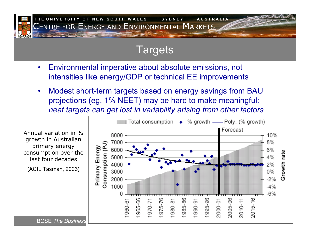

### **Targets**

- • Environmental imperative about absolute emissions, not intensities like energy/GDP or technical EE improvements
- $\bullet$  Modest short-term targets based on energy savings from BAU projections (eg. 1% NEET) may be hard to make meaningful: *neat targets can get lost in variability arising from other factors*

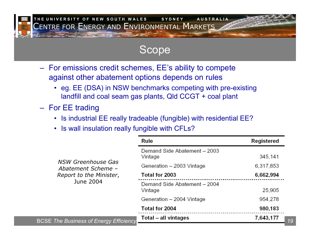

### Scope

- <del>Jan Jawa (</del> For emissions credit schemes, EE's ability to compete against other abatement options depends on rules
	- eg. EE (DSA) in NSW benchmarks competing with pre-existing landfill and coal seam gas plants, Qld CCGT + coal plant
- <del>Jan Jawa (</del> – For EE trading
	- Is industrial EE really tradeable (fungible) with residential EE?
	- Is wall insulation really fungible with CFLs?

|                                                                                  | Rule                                    | Registered      |
|----------------------------------------------------------------------------------|-----------------------------------------|-----------------|
|                                                                                  | Demand Side Abatement - 2003<br>Vintage | 345,141         |
| NSW Greenhouse Gas<br>Abatement Scheme -<br>Report to the Minister,<br>June 2004 | Generation - 2003 Vintage               | 6,317,853       |
|                                                                                  | Total for 2003                          | 6,662,994       |
|                                                                                  | Demand Side Abatement - 2004<br>Vintage | 25,905          |
|                                                                                  | Generation - 2004 Vintage               | 954.278         |
|                                                                                  | Total for 2004                          | 980,183         |
| <b>BCSE The Business of Energy Efficiency</b>                                    | Total – all vintages                    | 7,643,177<br>19 |
|                                                                                  |                                         |                 |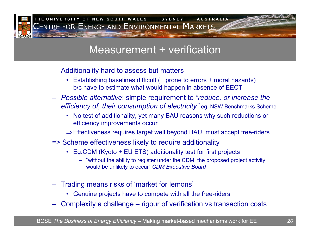

### Measurement + verification

- Additionality hard to assess but matters
	- • Establishing baselines difficult (+ prone to errors + moral hazards) b/c have to estimate what would happen in absence of EECT
- *Possible alternative*: simple requirement to *"reduce, or increase the efficiency of, their consumption of electricity"* eg. NSW Benchmarks Scheme
	- No test of additionality, yet many BAU reasons why such reductions or efficiency improvements occur
	- $\Rightarrow$  Effectiveness requires target well beyond BAU, must accept free-riders
- => Scheme effectiveness likely to require additionality
	- Eg.CDM (Kyoto + EU ETS) additionality test for first projects
		- "without the ability to register under the CDM, the proposed project activity would be unlikely to occur" *CDM Executive Board*
- Trading means risks of 'market for lemons'
	- Genuine projects have to compete with all the free-riders
- –Complexity a challenge – rigour of verification vs transaction costs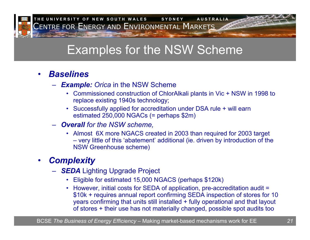

# Examples for the NSW Scheme

#### •*Baselines*

### – *Example: Orica* in the NSW Scheme

- Commissioned construction of ChlorAlkali plants in Vic + NSW in 1998 to replace existing 1940s technology;
- • Successfully applied for accreditation under DSA rule + will earn estimated 250,000 NGACs (= perhaps \$2m)
- – *Overall for the NSW scheme,* 
	- Almost 6X more NGACS created in 2003 than required for 2003 target – very little of this 'abatement' additional (ie. driven by introduction of the NSW Greenhouse scheme)

#### $\bullet$ *Complexity*

- *SEDA* Lighting Upgrade Project
	- •Eligible for estimated 15,000 NGACS (perhaps \$120k)
	- However, initial costs for SEDA of application, pre-accreditation audit = \$10k + requires annual report confirming SEDA inspection of stores for 10 years confirming that units still installed + fully operational and that layout of stores + their use has not materially changed, possible spot audits too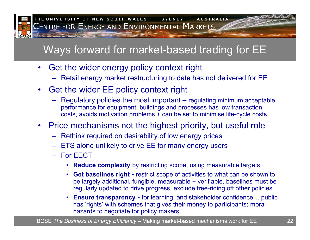

## Ways forward for market-based trading for EE

- $\bullet$  Get the wider energy policy context right
	- Retail energy market restructuring to date has not delivered for EE
- • Get the wider EE policy context right
	- Regulatory policies the most important regulating minimum acceptable performance for equipment, buildings and processes has low transaction costs, avoids motivation problems + can be set to minimise life-cycle costs
- $\bullet$  Price mechanisms not the highest priority, but useful role
	- Rethink required on desirability of low energy prices
	- ETS alone unlikely to drive EE for many energy users
	- For EECT
		- **Reduce complexity** by restricting scope, using measurable targets
		- • **Get baselines right** - restrict scope of activities to what can be shown to be largely additional, fungible, measurable + verifiable, baselines must be regularly updated to drive progress, exclude free-riding off other policies
		- **Ensure transparency** for learning, and stakeholder confidence… public has 'rights' with schemes that gives their money to participants; moral hazards to negotiate for policy makers